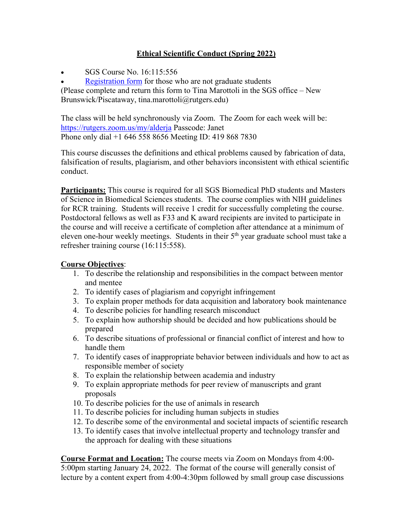# **Ethical Scientific Conduct (Spring 2022)**

• SGS Course No. 16:115:556

Registration form for those who are not graduate students

(Please complete and return this form to Tina Marottoli in the SGS office – New Brunswick/Piscataway, tina.marottoli@rutgers.edu)

The class will be held synchronously via Zoom. The Zoom for each week will be: https://rutgers.zoom.us/my/alderja Passcode: Janet Phone only dial +1 646 558 8656 Meeting ID: 419 868 7830

This course discusses the definitions and ethical problems caused by fabrication of data, falsification of results, plagiarism, and other behaviors inconsistent with ethical scientific conduct.

**Participants:** This course is required for all SGS Biomedical PhD students and Masters of Science in Biomedical Sciences students. The course complies with NIH guidelines for RCR training. Students will receive 1 credit for successfully completing the course. Postdoctoral fellows as well as F33 and K award recipients are invited to participate in the course and will receive a certificate of completion after attendance at a minimum of eleven one-hour weekly meetings. Students in their 5<sup>th</sup> year graduate school must take a refresher training course (16:115:558).

### **Course Objectives**:

- 1. To describe the relationship and responsibilities in the compact between mentor and mentee
- 2. To identify cases of plagiarism and copyright infringement
- 3. To explain proper methods for data acquisition and laboratory book maintenance
- 4. To describe policies for handling research misconduct
- 5. To explain how authorship should be decided and how publications should be prepared
- 6. To describe situations of professional or financial conflict of interest and how to handle them
- 7. To identify cases of inappropriate behavior between individuals and how to act as responsible member of society
- 8. To explain the relationship between academia and industry
- 9. To explain appropriate methods for peer review of manuscripts and grant proposals
- 10. To describe policies for the use of animals in research
- 11. To describe policies for including human subjects in studies
- 12. To describe some of the environmental and societal impacts of scientific research
- 13. To identify cases that involve intellectual property and technology transfer and the approach for dealing with these situations

**Course Format and Location:** The course meets via Zoom on Mondays from 4:00- 5:00pm starting January 24, 2022. The format of the course will generally consist of lecture by a content expert from 4:00-4:30pm followed by small group case discussions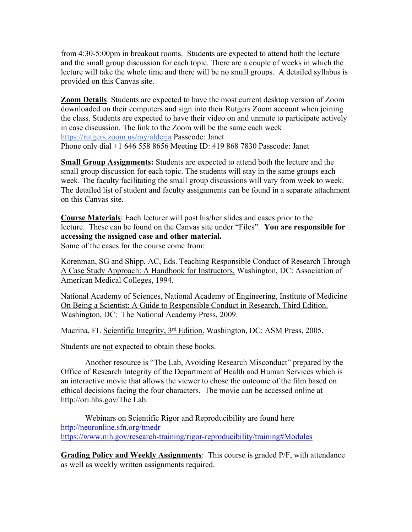from 4:30-5:00pm in breakout rooms. Students are expected to attend both the lecture and the small group discussion for each topic. There are a couple of weeks in which the lecture will take the whole time and there will be no small groups. A detailed syllabus is provided on this Canvas site.

**Zoom Details**: Students are expected to have the most current desktop version of Zoom downloaded on their computers and sign into their Rutgers Zoom account when joining the class. Students are expected to have their video on and unmute to participate actively in case discussion. The link to the Zoom will be the same each week https://rutgers.zoom.us/my/alderja Passcode: Janet Phone only dial +1 646 558 8656 Meeting ID: 419 868 7830 Passcode: Janet

**Small Group Assignments:** Students are expected to attend both the lecture and the small group discussion for each topic. The students will stay in the same groups each week. The faculty facilitating the small group discussions will vary from week to week. The detailed list of student and faculty assignments can be found in a separate attachment on this Canvas site.

**Course Materials**: Each lecturer will post his/her slides and cases prior to the lecture. These can be found on the Canvas site under "Files". **You are responsible for accessing the assigned case and other material.**

Some of the cases for the course come from:

Korenman, SG and Shipp, AC, Eds. Teaching Responsible Conduct of Research Through A Case Study Approach: A Handbook for Instructors. Washington, DC: Association of American Medical Colleges, 1994.

National Academy of Sciences, National Academy of Engineering, Institute of Medicine On Being a Scientist: A Guide to Responsible Conduct in Research, Third Edition. Washington, DC: The National Academy Press, 2009.

Macrina, FL Scientific Integrity, 3rd Edition. Washington, DC: ASM Press, 2005.

Students are not expected to obtain these books.

Another resource is "The Lab, Avoiding Research Misconduct" prepared by the Office of Research Integrity of the Department of Health and Human Services which is an interactive movie that allows the viewer to chose the outcome of the film based on ethical decisions facing the four characters. The movie can be accessed online at http://ori.hhs.gov/The Lab.

Webinars on Scientific Rigor and Reproducibility are found here http://neuronline.sfn.org/tmedr https://www.nih.gov/research-training/rigor-reproducibility/training#Modules

**Grading Policy and Weekly Assignments**: This course is graded P/F, with attendance as well as weekly written assignments required.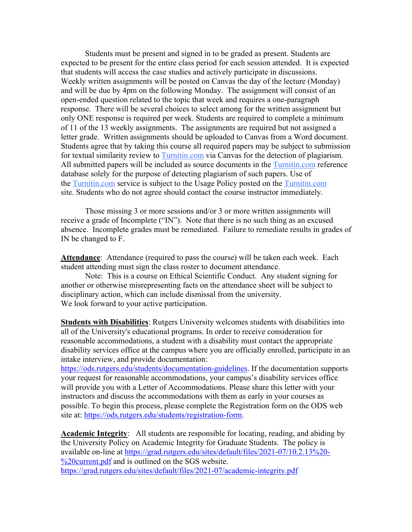Students must be present and signed in to be graded as present. Students are expected to be present for the entire class period for each session attended. It is expected that students will access the case studies and actively participate in discussions. Weekly written assignments will be posted on Canvas the day of the lecture (Monday) and will be due by 4pm on the following Monday. The assignment will consist of an open-ended question related to the topic that week and requires a one-paragraph response. There will be several choices to select among for the written assignment but only ONE response is required per week. Students are required to complete a minimum of 11 of the 13 weekly assignments. The assignments are required but not assigned a letter grade. Written assignments should be uploaded to Canvas from a Word document. Students agree that by taking this course all required papers may be subject to submission for textual similarity review to Turnitin.com via Canvas for the detection of plagiarism. All submitted papers will be included as source documents in the Turnitin.com reference database solely for the purpose of detecting plagiarism of such papers. Use of the Turnitin.com service is subject to the Usage Policy posted on the Turnitin.com site. Students who do not agree should contact the course instructor immediately.

Those missing 3 or more sessions and/or 3 or more written assignments will receive a grade of Incomplete ("IN"). Note that there is no such thing as an excused absence. Incomplete grades must be remediated. Failure to remediate results in grades of IN be changed to F.

**Attendance**: Attendance (required to pass the course) will be taken each week. Each student attending must sign the class roster to document attendance.

Note: This is a course on Ethical Scientific Conduct. Any student signing for another or otherwise misrepresenting facts on the attendance sheet will be subject to disciplinary action, which can include dismissal from the university. We look forward to your active participation.

**Students with Disabilities**: Rutgers University welcomes students with disabilities into all of the University's educational programs. In order to receive consideration for reasonable accommodations, a student with a disability must contact the appropriate disability services office at the campus where you are officially enrolled, participate in an intake interview, and provide documentation:

https://ods.rutgers.edu/students/documentation-guidelines. If the documentation supports your request for reasonable accommodations, your campus's disability services office will provide you with a Letter of Accommodations. Please share this letter with your instructors and discuss the accommodations with them as early in your courses as possible. To begin this process, please complete the Registration form on the ODS web site at: https://ods.rutgers.edu/students/registration-form.

**Academic Integrity**: All students are responsible for locating, reading, and abiding by the University Policy on Academic Integrity for Graduate Students. The policy is available on-line at https://grad.rutgers.edu/sites/default/files/2021-07/10.2.13%20- %20current.pdf and is outlined on the SGS website. https://grad.rutgers.edu/sites/default/files/2021-07/academic-integrity.pdf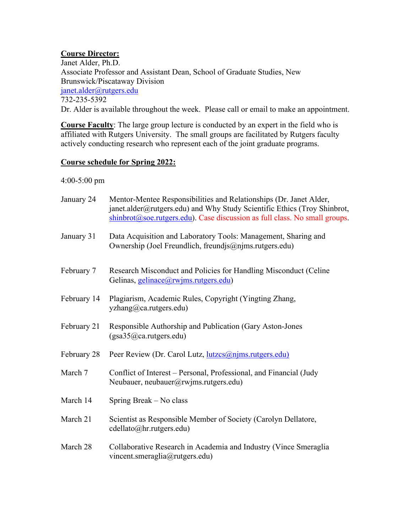# **Course Director:**

Janet Alder, Ph.D. Associate Professor and Assistant Dean, School of Graduate Studies, New Brunswick/Piscataway Division janet.alder@rutgers.edu 732-235-5392 Dr. Alder is available throughout the week. Please call or email to make an appointment.

**Course Faculty**: The large group lecture is conducted by an expert in the field who is affiliated with Rutgers University. The small groups are facilitated by Rutgers faculty actively conducting research who represent each of the joint graduate programs.

### **Course schedule for Spring 2022:**

#### 4:00-5:00 pm

| January 24  | Mentor-Mentee Responsibilities and Relationships (Dr. Janet Alder,<br>janet.alder@rutgers.edu) and Why Study Scientific Ethics (Troy Shinbrot,<br>$\sinh brot(\omega)$ soe.rutgers.edu). Case discussion as full class. No small groups. |
|-------------|------------------------------------------------------------------------------------------------------------------------------------------------------------------------------------------------------------------------------------------|
| January 31  | Data Acquisition and Laboratory Tools: Management, Sharing and<br>Ownership (Joel Freundlich, freundjs@njms.rutgers.edu)                                                                                                                 |
| February 7  | Research Misconduct and Policies for Handling Misconduct (Celine<br>Gelinas, <i>gelinace</i> (@rwjms.rutgers.edu)                                                                                                                        |
| February 14 | Plagiarism, Academic Rules, Copyright (Yingting Zhang,<br>yzhang@ca.rutgers.edu)                                                                                                                                                         |
| February 21 | Responsible Authorship and Publication (Gary Aston-Jones<br>(gsa35@ca.rutgers.edu)                                                                                                                                                       |
| February 28 | Peer Review (Dr. Carol Lutz, <u>lutzcs@njms.rutgers.edu)</u>                                                                                                                                                                             |
| March 7     | Conflict of Interest – Personal, Professional, and Financial (Judy<br>Neubauer, neubauer@rwjms.rutgers.edu)                                                                                                                              |
| March 14    | Spring Break – No class                                                                                                                                                                                                                  |
| March 21    | Scientist as Responsible Member of Society (Carolyn Dellatore,<br>cdellato@hr.rutgers.edu)                                                                                                                                               |
| March 28    | Collaborative Research in Academia and Industry (Vince Smeraglia<br>vincent.smeraglia@rutgers.edu)                                                                                                                                       |